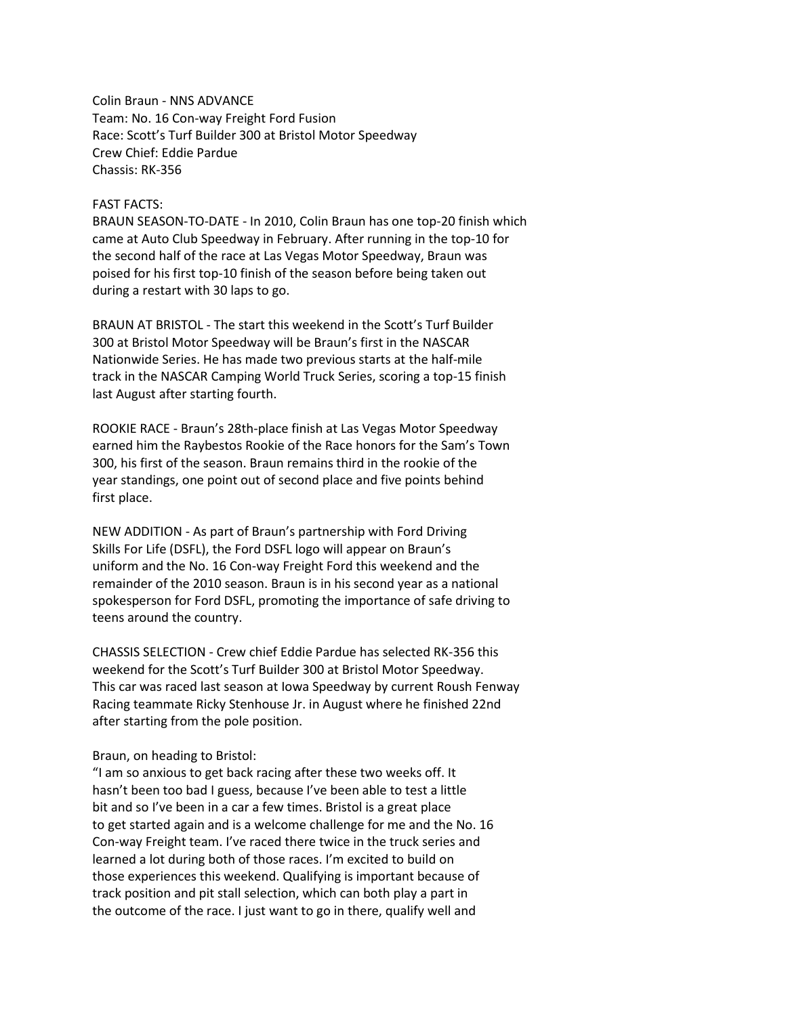Colin Braun - NNS ADVANCE Team: No. 16 Con-way Freight Ford Fusion Race: Scott's Turf Builder 300 at Bristol Motor Speedway Crew Chief: Eddie Pardue Chassis: RK-356

## FAST FACTS:

BRAUN SEASON-TO-DATE - In 2010, Colin Braun has one top-20 finish which came at Auto Club Speedway in February. After running in the top-10 for the second half of the race at Las Vegas Motor Speedway, Braun was poised for his first top-10 finish of the season before being taken out during a restart with 30 laps to go.

BRAUN AT BRISTOL - The start this weekend in the Scott's Turf Builder 300 at Bristol Motor Speedway will be Braun's first in the NASCAR Nationwide Series. He has made two previous starts at the half-mile track in the NASCAR Camping World Truck Series, scoring a top-15 finish last August after starting fourth.

ROOKIE RACE - Braun's 28th-place finish at Las Vegas Motor Speedway earned him the Raybestos Rookie of the Race honors for the Sam's Town 300, his first of the season. Braun remains third in the rookie of the year standings, one point out of second place and five points behind first place.

NEW ADDITION - As part of Braun's partnership with Ford Driving Skills For Life (DSFL), the Ford DSFL logo will appear on Braun's uniform and the No. 16 Con-way Freight Ford this weekend and the remainder of the 2010 season. Braun is in his second year as a national spokesperson for Ford DSFL, promoting the importance of safe driving to teens around the country.

CHASSIS SELECTION - Crew chief Eddie Pardue has selected RK-356 this weekend for the Scott's Turf Builder 300 at Bristol Motor Speedway. This car was raced last season at Iowa Speedway by current Roush Fenway Racing teammate Ricky Stenhouse Jr. in August where he finished 22nd after starting from the pole position.

## Braun, on heading to Bristol:

"I am so anxious to get back racing after these two weeks off. It hasn't been too bad I guess, because I've been able to test a little bit and so I've been in a car a few times. Bristol is a great place to get started again and is a welcome challenge for me and the No. 16 Con-way Freight team. I've raced there twice in the truck series and learned a lot during both of those races. I'm excited to build on those experiences this weekend. Qualifying is important because of track position and pit stall selection, which can both play a part in the outcome of the race. I just want to go in there, qualify well and